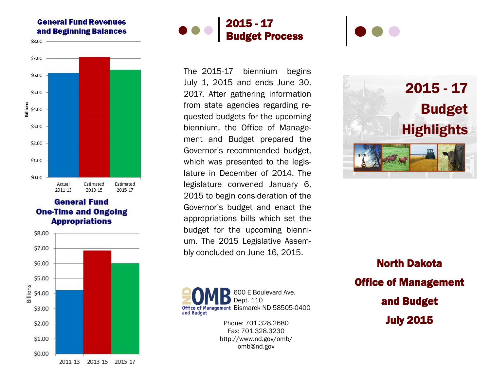## **General Fund Revenues** and Beginning Balances



## **General Fund One-Time and Ongoing Appropriations**





The 2015-17 biennium begins July 1, 2015 and ends June 30, 2017. After gathering information from state agencies regarding requested budgets for the upcoming biennium, the Office of Management and Budget prepared the Governor's recommended budget, which was presented to the legislature in December of 2014. The legislature convened January 6, 2015 to begin consideration of the Governor's budget and enact the appropriations bills which set the budget for the upcoming biennium. The 2015 Legislative Assembly concluded on June 16, 2015.

600 E Boulevard Ave. Dept. 110 Office of Management Bismarck ND 58505-0400 and Budget

> Phone: 701.328.2680 Fax: 701.328.3230 http://www.nd.gov/omb/ omb@nd.gov



North Dakota Office of Management and Budget July 2015